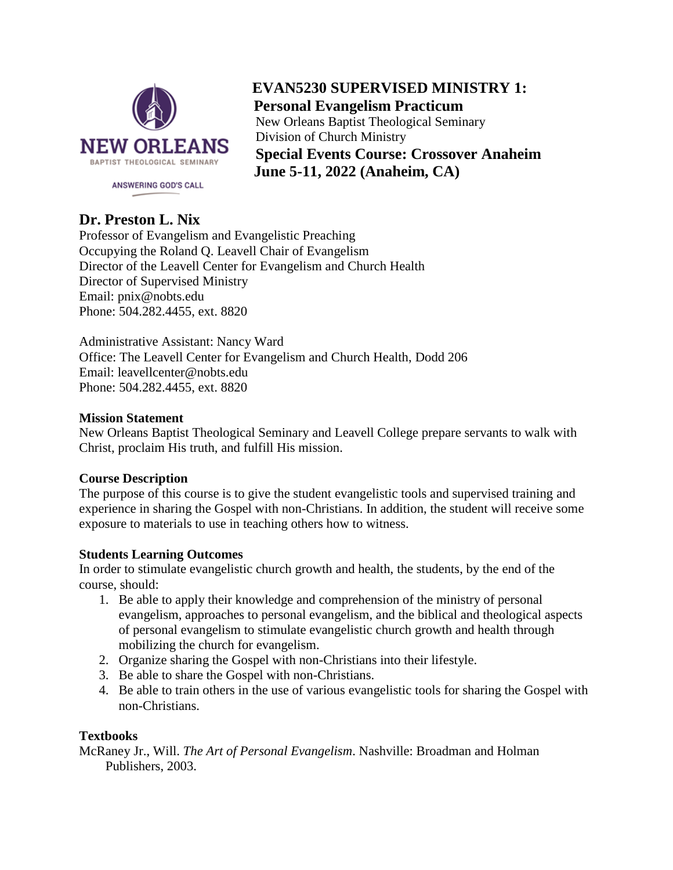

 **EVAN5230 SUPERVISED MINISTRY 1: Personal Evangelism Practicum** New Orleans Baptist Theological Seminary Division of Church Ministry **Special Events Course: Crossover Anaheim June 5-11, 2022 (Anaheim, CA)**

## **Dr. Preston L. Nix**

Professor of Evangelism and Evangelistic Preaching Occupying the Roland Q. Leavell Chair of Evangelism Director of the Leavell Center for Evangelism and Church Health Director of Supervised Ministry Email: pnix@nobts.edu Phone: 504.282.4455, ext. 8820

Administrative Assistant: Nancy Ward Office: The Leavell Center for Evangelism and Church Health, Dodd 206 Email: leavellcenter@nobts.edu Phone: 504.282.4455, ext. 8820

#### **Mission Statement**

New Orleans Baptist Theological Seminary and Leavell College prepare servants to walk with Christ, proclaim His truth, and fulfill His mission.

#### **Course Description**

The purpose of this course is to give the student evangelistic tools and supervised training and experience in sharing the Gospel with non-Christians. In addition, the student will receive some exposure to materials to use in teaching others how to witness.

#### **Students Learning Outcomes**

In order to stimulate evangelistic church growth and health, the students, by the end of the course, should:

- 1. Be able to apply their knowledge and comprehension of the ministry of personal evangelism, approaches to personal evangelism, and the biblical and theological aspects of personal evangelism to stimulate evangelistic church growth and health through mobilizing the church for evangelism.
- 2. Organize sharing the Gospel with non-Christians into their lifestyle.
- 3. Be able to share the Gospel with non-Christians.
- 4. Be able to train others in the use of various evangelistic tools for sharing the Gospel with non-Christians.

#### **Textbooks**

McRaney Jr., Will. *The Art of Personal Evangelism*. Nashville: Broadman and Holman Publishers, 2003.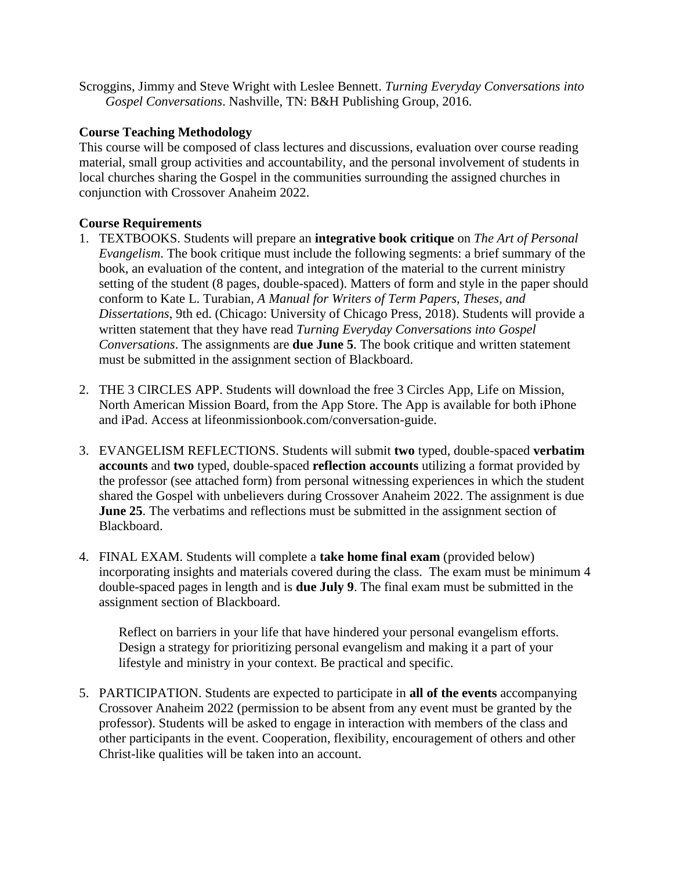Scroggins, Jimmy and Steve Wright with Leslee Bennett. *Turning Everyday Conversations into Gospel Conversations*. Nashville, TN: B&H Publishing Group, 2016.

## **Course Teaching Methodology**

This course will be composed of class lectures and discussions, evaluation over course reading material, small group activities and accountability, and the personal involvement of students in local churches sharing the Gospel in the communities surrounding the assigned churches in conjunction with Crossover Anaheim 2022.

## **Course Requirements**

- 1. TEXTBOOKS. Students will prepare an **integrative book critique** on *The Art of Personal Evangelism*. The book critique must include the following segments: a brief summary of the book, an evaluation of the content, and integration of the material to the current ministry setting of the student (8 pages, double-spaced). Matters of form and style in the paper should conform to Kate L. Turabian, *A Manual for Writers of Term Papers, Theses, and Dissertations*, 9th ed. (Chicago: University of Chicago Press, 2018). Students will provide a written statement that they have read *Turning Everyday Conversations into Gospel Conversations*. The assignments are **due June 5**. The book critique and written statement must be submitted in the assignment section of Blackboard.
- 2. THE 3 CIRCLES APP. Students will download the free 3 Circles App, Life on Mission, North American Mission Board, from the App Store. The App is available for both iPhone and iPad. Access at lifeonmissionbook.com/conversation-guide.
- 3. EVANGELISM REFLECTIONS. Students will submit **two** typed, double-spaced **verbatim accounts** and **two** typed, double-spaced **reflection accounts** utilizing a format provided by the professor (see attached form) from personal witnessing experiences in which the student shared the Gospel with unbelievers during Crossover Anaheim 2022. The assignment is due **June 25**. The verbatims and reflections must be submitted in the assignment section of Blackboard.
- 4. FINAL EXAM. Students will complete a **take home final exam** (provided below) incorporating insights and materials covered during the class. The exam must be minimum 4 double-spaced pages in length and is **due July 9**. The final exam must be submitted in the assignment section of Blackboard.

Reflect on barriers in your life that have hindered your personal evangelism efforts. Design a strategy for prioritizing personal evangelism and making it a part of your lifestyle and ministry in your context. Be practical and specific.

5. PARTICIPATION. Students are expected to participate in **all of the events** accompanying Crossover Anaheim 2022 (permission to be absent from any event must be granted by the professor). Students will be asked to engage in interaction with members of the class and other participants in the event. Cooperation, flexibility, encouragement of others and other Christ-like qualities will be taken into an account.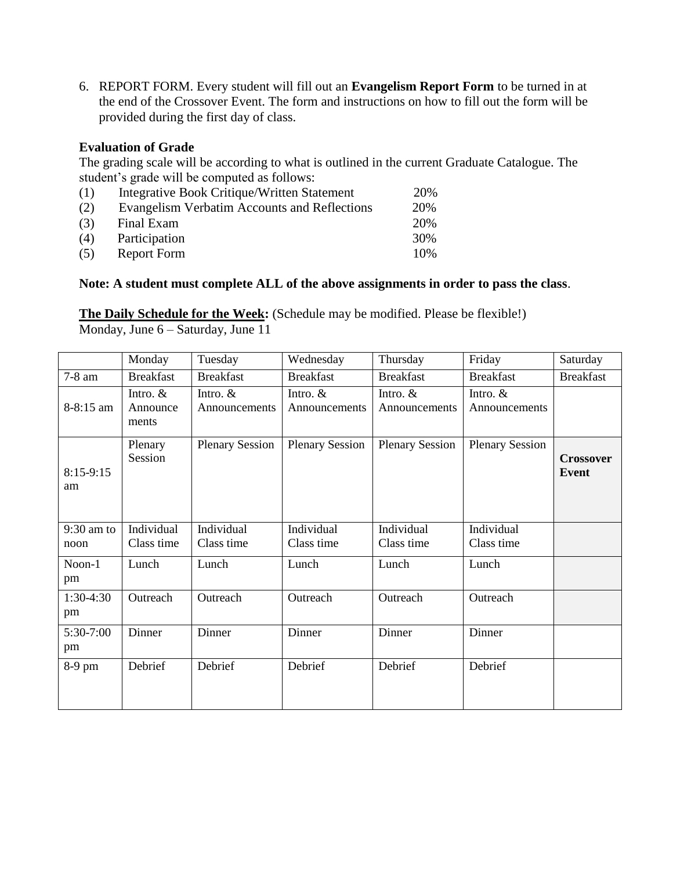6. REPORT FORM. Every student will fill out an **Evangelism Report Form** to be turned in at the end of the Crossover Event. The form and instructions on how to fill out the form will be provided during the first day of class.

## **Evaluation of Grade**

The grading scale will be according to what is outlined in the current Graduate Catalogue. The student's grade will be computed as follows:

| (1) | Integrative Book Critique/Written Statement  | 20% |
|-----|----------------------------------------------|-----|
| (2) | Evangelism Verbatim Accounts and Reflections | 20% |
| (3) | Final Exam                                   | 20% |
| (4) | Participation                                | 30% |
| (5) | Report Form                                  | 10% |

## **Note: A student must complete ALL of the above assignments in order to pass the class**.

**The Daily Schedule for the Week:** (Schedule may be modified. Please be flexible!) Monday, June 6 – Saturday, June 11

|                      | Monday                          | Tuesday                     | Wednesday                   | Thursday                    | Friday                      | Saturday                         |
|----------------------|---------------------------------|-----------------------------|-----------------------------|-----------------------------|-----------------------------|----------------------------------|
| 7-8 am               | <b>Breakfast</b>                | <b>Breakfast</b>            | <b>Breakfast</b>            | <b>Breakfast</b>            | <b>Breakfast</b>            | <b>Breakfast</b>                 |
| 8-8:15 am            | Intro. $&$<br>Announce<br>ments | Intro. $&$<br>Announcements | Intro. $&$<br>Announcements | Intro. $&$<br>Announcements | Intro. $&$<br>Announcements |                                  |
| $8:15-9:15$<br>am    | Plenary<br>Session              | <b>Plenary Session</b>      | <b>Plenary Session</b>      | <b>Plenary Session</b>      | <b>Plenary Session</b>      | <b>Crossover</b><br><b>Event</b> |
| $9:30$ am to<br>noon | Individual<br>Class time        | Individual<br>Class time    | Individual<br>Class time    | Individual<br>Class time    | Individual<br>Class time    |                                  |
| Noon-1<br>pm         | Lunch                           | Lunch                       | Lunch                       | Lunch                       | Lunch                       |                                  |
| $1:30-4:30$<br>pm    | Outreach                        | Outreach                    | Outreach                    | Outreach                    | Outreach                    |                                  |
| 5:30-7:00<br>pm      | Dinner                          | Dinner                      | Dinner                      | Dinner                      | Dinner                      |                                  |
| 8-9 pm               | Debrief                         | Debrief                     | Debrief                     | Debrief                     | Debrief                     |                                  |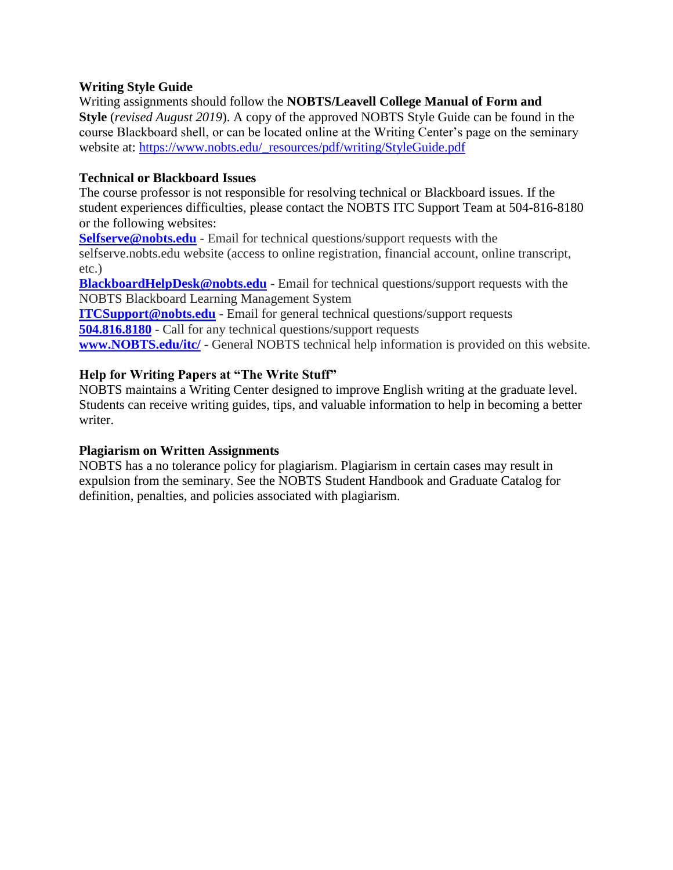## **Writing Style Guide**

Writing assignments should follow the **NOBTS/Leavell College Manual of Form and Style** (*revised August 2019*). A copy of the approved NOBTS Style Guide can be found in the course Blackboard shell, or can be located online at the Writing Center's page on the seminary website at: [https://www.nobts.edu/\\_resources/pdf/writing/StyleGuide.pdf](https://www.nobts.edu/_resources/pdf/writing/StyleGuide.pdf)

## **Technical or Blackboard Issues**

The course professor is not responsible for resolving technical or Blackboard issues. If the student experiences difficulties, please contact the NOBTS ITC Support Team at 504-816-8180 or the following websites:

**[Selfserve@nobts.edu](mailto:Selfserve@nobts.edu)** - Email for technical questions/support requests with the selfserve.nobts.edu website (access to online registration, financial account, online transcript, etc.)

**[BlackboardHelpDesk@nobts.edu](mailto:Blackboardhelpdesk@nobts.edu)** - Email for technical questions/support requests with the NOBTS Blackboard Learning Management System

**[ITCSupport@nobts.edu](mailto:ITCSupport@nobts.edu)** - Email for general technical questions/support requests **[504.816.8180](tel:504.816.8180)** - Call for any technical questions/support requests

**[www.NOBTS.edu/itc/](http://www.nobts.edu/itc/)** - General NOBTS technical help information is provided on this website.

## **Help for Writing Papers at "The Write Stuff"**

NOBTS maintains a Writing Center designed to improve English writing at the graduate level. Students can receive writing guides, tips, and valuable information to help in becoming a better writer.

## **Plagiarism on Written Assignments**

NOBTS has a no tolerance policy for plagiarism. Plagiarism in certain cases may result in expulsion from the seminary. See the NOBTS Student Handbook and Graduate Catalog for definition, penalties, and policies associated with plagiarism.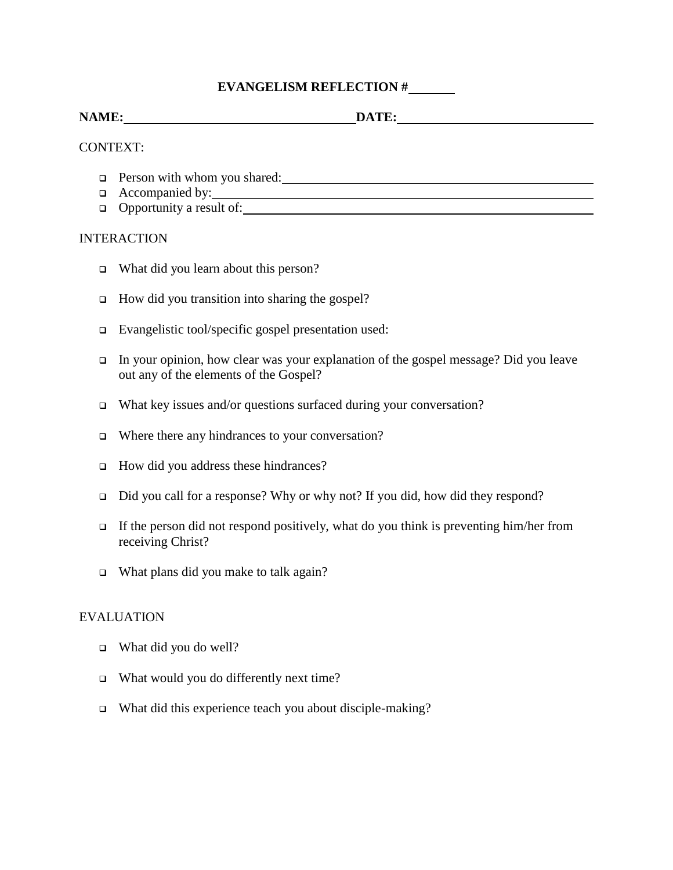## **EVANGELISM REFLECTION #**

# **NAME: DATE:**

#### CONTEXT:

- Person with whom you shared:
- $\Box$  Accompanied by:
- Opportunity a result of:

#### INTERACTION

- □ What did you learn about this person?
- $\Box$  How did you transition into sharing the gospel?
- Evangelistic tool/specific gospel presentation used:
- In your opinion, how clear was your explanation of the gospel message? Did you leave out any of the elements of the Gospel?
- $\Box$  What key issues and/or questions surfaced during your conversation?
- $\Box$  Where there any hindrances to your conversation?
- How did you address these hindrances?
- Did you call for a response? Why or why not? If you did, how did they respond?
- If the person did not respond positively, what do you think is preventing him/her from receiving Christ?
- □ What plans did you make to talk again?

#### EVALUATION

- □ What did you do well?
- $\Box$  What would you do differently next time?
- □ What did this experience teach you about disciple-making?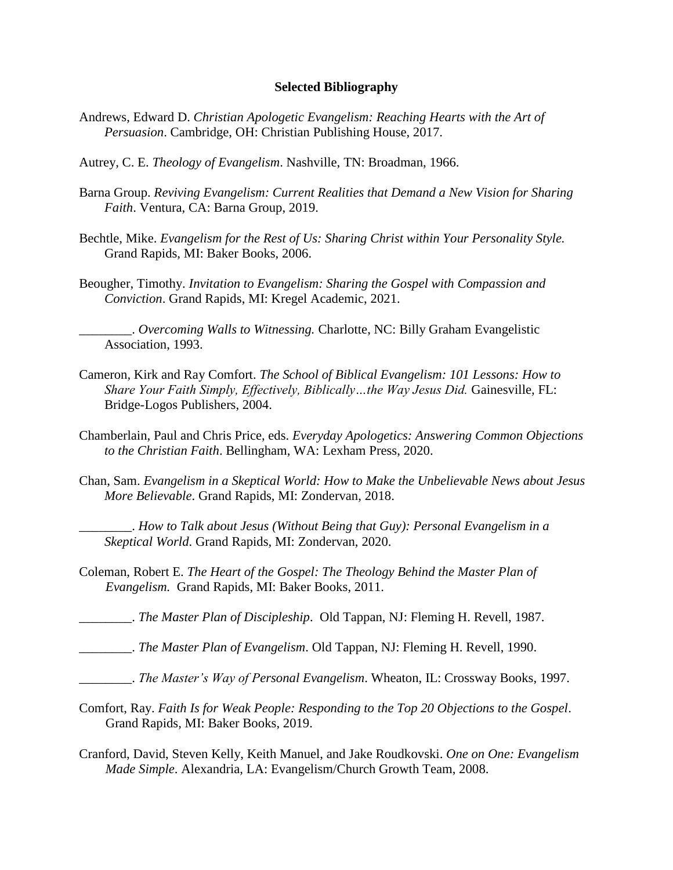#### **Selected Bibliography**

- Andrews, Edward D. *Christian Apologetic Evangelism: Reaching Hearts with the Art of Persuasion*. Cambridge, OH: Christian Publishing House, 2017.
- Autrey, C. E. *Theology of Evangelism*. Nashville, TN: Broadman, 1966.
- Barna Group. *Reviving Evangelism: Current Realities that Demand a New Vision for Sharing Faith*. Ventura, CA: Barna Group, 2019.
- Bechtle, Mike. *Evangelism for the Rest of Us: Sharing Christ within Your Personality Style.*  Grand Rapids, MI: Baker Books, 2006.
- Beougher, Timothy. *Invitation to Evangelism: Sharing the Gospel with Compassion and Conviction*. Grand Rapids, MI: Kregel Academic, 2021.

\_\_\_\_\_\_\_\_. *Overcoming Walls to Witnessing.* Charlotte, NC: Billy Graham Evangelistic Association, 1993.

- Cameron, Kirk and Ray Comfort. *The School of Biblical Evangelism: 101 Lessons: How to Share Your Faith Simply, Effectively, Biblically...the Way Jesus Did. Gainesville, FL:* Bridge-Logos Publishers, 2004.
- Chamberlain, Paul and Chris Price, eds. *Everyday Apologetics: Answering Common Objections to the Christian Faith*. Bellingham, WA: Lexham Press, 2020.
- Chan, Sam. *Evangelism in a Skeptical World: How to Make the Unbelievable News about Jesus More Believable*. Grand Rapids, MI: Zondervan, 2018.

\_\_\_\_\_\_\_\_. *How to Talk about Jesus (Without Being that Guy): Personal Evangelism in a Skeptical World*. Grand Rapids, MI: Zondervan, 2020.

- Coleman, Robert E. *The Heart of the Gospel: The Theology Behind the Master Plan of Evangelism.* Grand Rapids, MI: Baker Books, 2011.
	- \_\_\_\_\_\_\_\_. *The Master Plan of Discipleship*. Old Tappan, NJ: Fleming H. Revell, 1987.
- \_\_\_\_\_\_\_\_. *The Master Plan of Evangelism*. Old Tappan, NJ: Fleming H. Revell, 1990.
- \_\_\_\_\_\_\_\_. *The Master's Way of Personal Evangelism*. Wheaton, IL: Crossway Books, 1997.
- Comfort, Ray. *Faith Is for Weak People: Responding to the Top 20 Objections to the Gospel*. Grand Rapids, MI: Baker Books, 2019.
- Cranford, David, Steven Kelly, Keith Manuel, and Jake Roudkovski. *One on One: Evangelism Made Simple*. Alexandria, LA: Evangelism/Church Growth Team, 2008.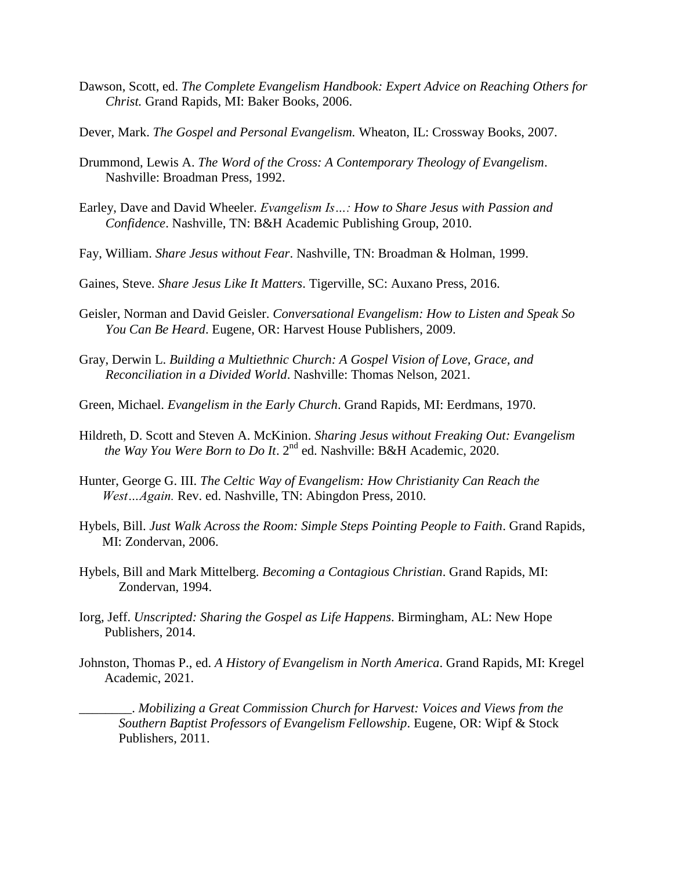- Dawson, Scott, ed. *The Complete Evangelism Handbook: Expert Advice on Reaching Others for Christ.* Grand Rapids, MI: Baker Books, 2006.
- Dever, Mark. *The Gospel and Personal Evangelism.* Wheaton, IL: Crossway Books, 2007.
- Drummond, Lewis A. *The Word of the Cross: A Contemporary Theology of Evangelism*. Nashville: Broadman Press, 1992.
- Earley, Dave and David Wheeler. *Evangelism Is…: How to Share Jesus with Passion and Confidence*. Nashville, TN: B&H Academic Publishing Group, 2010.
- Fay, William. *Share Jesus without Fear*. Nashville, TN: Broadman & Holman, 1999.
- Gaines, Steve. *Share Jesus Like It Matters*. Tigerville, SC: Auxano Press, 2016.
- Geisler, Norman and David Geisler. *Conversational Evangelism: How to Listen and Speak So You Can Be Heard*. Eugene, OR: Harvest House Publishers, 2009.
- Gray, Derwin L. *Building a Multiethnic Church: A Gospel Vision of Love, Grace, and Reconciliation in a Divided World*. Nashville: Thomas Nelson, 2021.
- Green, Michael. *Evangelism in the Early Church*. Grand Rapids, MI: Eerdmans, 1970.
- Hildreth, D. Scott and Steven A. McKinion. *Sharing Jesus without Freaking Out: Evangelism the Way You Were Born to Do It*. 2nd ed. Nashville: B&H Academic, 2020.
- Hunter, George G. III. *The Celtic Way of Evangelism: How Christianity Can Reach the West…Again.* Rev. ed. Nashville, TN: Abingdon Press, 2010.
- Hybels, Bill. *Just Walk Across the Room: Simple Steps Pointing People to Faith*. Grand Rapids, MI: Zondervan, 2006.
- Hybels, Bill and Mark Mittelberg. *Becoming a Contagious Christian*. Grand Rapids, MI: Zondervan, 1994.
- Iorg, Jeff. *Unscripted: Sharing the Gospel as Life Happens*. Birmingham, AL: New Hope Publishers, 2014.
- Johnston, Thomas P., ed. *A History of Evangelism in North America*. Grand Rapids, MI: Kregel Academic, 2021.

\_\_\_\_\_\_\_\_. *Mobilizing a Great Commission Church for Harvest: Voices and Views from the Southern Baptist Professors of Evangelism Fellowship*. Eugene, OR: Wipf & Stock Publishers, 2011.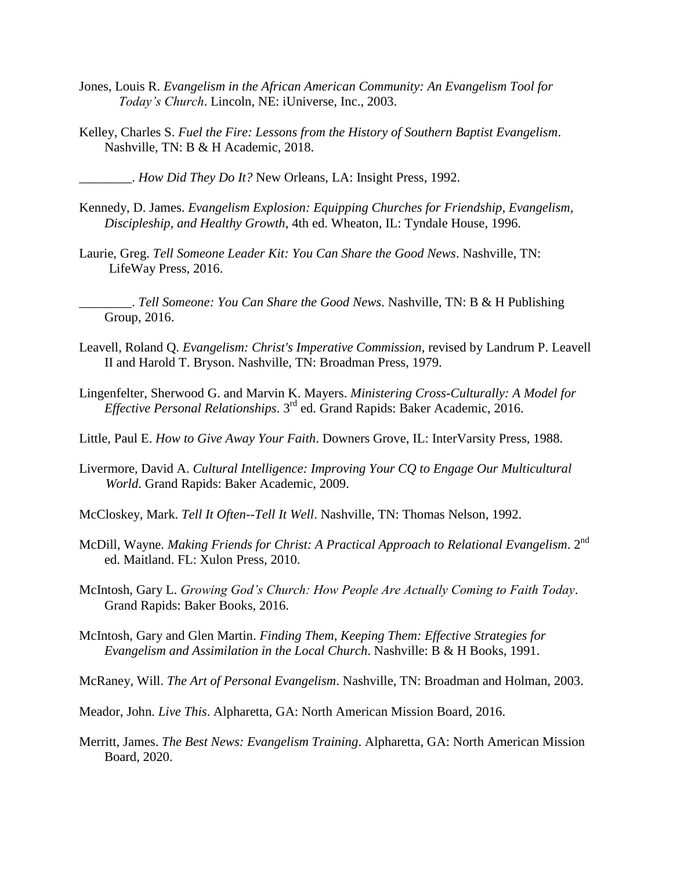- Jones, Louis R. *Evangelism in the African American Community: An Evangelism Tool for Today's Church*. Lincoln, NE: iUniverse, Inc., 2003.
- Kelley, Charles S. *Fuel the Fire: Lessons from the History of Southern Baptist Evangelism*. Nashville, TN: B & H Academic, 2018.

\_\_\_\_\_\_\_\_. *How Did They Do It?* New Orleans, LA: Insight Press, 1992.

- Kennedy, D. James. *Evangelism Explosion: Equipping Churches for Friendship, Evangelism, Discipleship, and Healthy Growth*, 4th ed. Wheaton, IL: Tyndale House, 1996.
- Laurie, Greg. *Tell Someone Leader Kit: You Can Share the Good News*. Nashville, TN: LifeWay Press, 2016.

\_\_\_\_\_\_\_\_. *Tell Someone: You Can Share the Good News*. Nashville, TN: B & H Publishing Group, 2016.

- Leavell, Roland Q. *Evangelism: Christ's Imperative Commission*, revised by Landrum P. Leavell II and Harold T. Bryson. Nashville, TN: Broadman Press, 1979.
- Lingenfelter, Sherwood G. and Marvin K. Mayers. *Ministering Cross-Culturally: A Model for Effective Personal Relationships*. 3rd ed. Grand Rapids: Baker Academic, 2016.
- Little, Paul E. *How to Give Away Your Faith*. Downers Grove, IL: InterVarsity Press, 1988.
- Livermore, David A. *Cultural Intelligence: Improving Your CQ to Engage Our Multicultural World*. Grand Rapids: Baker Academic, 2009.
- McCloskey, Mark. *Tell It Often--Tell It Well*. Nashville, TN: Thomas Nelson, 1992.
- McDill, Wayne. *Making Friends for Christ: A Practical Approach to Relational Evangelism*. 2nd ed. Maitland. FL: Xulon Press, 2010.
- McIntosh, Gary L. *Growing God's Church: How People Are Actually Coming to Faith Today*. Grand Rapids: Baker Books, 2016.
- McIntosh, Gary and Glen Martin. *Finding Them, Keeping Them: Effective Strategies for Evangelism and Assimilation in the Local Church*. Nashville: B & H Books, 1991.

McRaney, Will. *The Art of Personal Evangelism*. Nashville, TN: Broadman and Holman, 2003.

Meador, John. *Live This*. Alpharetta, GA: North American Mission Board, 2016.

Merritt, James. *The Best News: Evangelism Training*. Alpharetta, GA: North American Mission Board, 2020.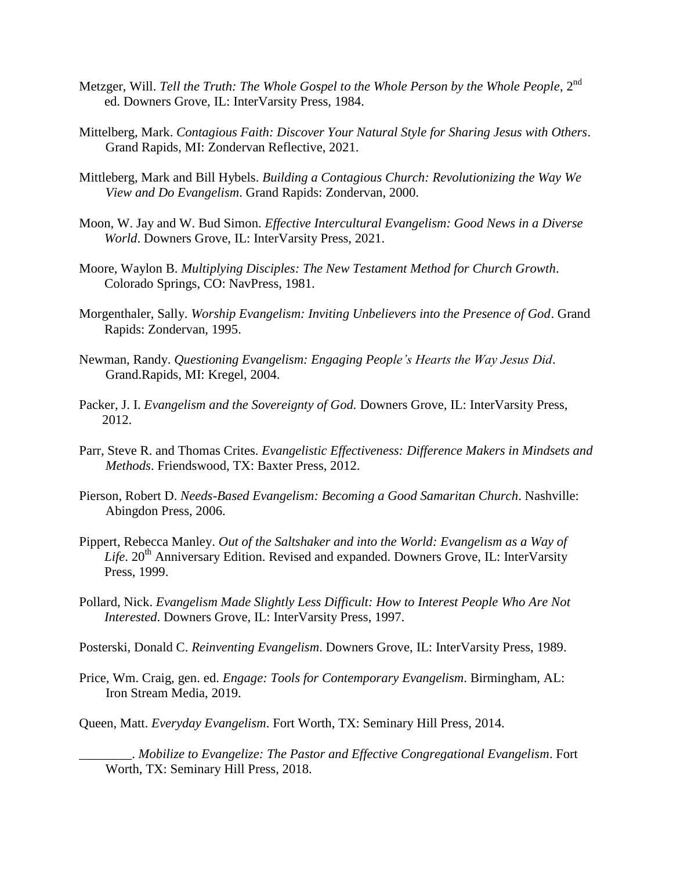- Metzger, Will. *Tell the Truth: The Whole Gospel to the Whole Person by the Whole People*, 2<sup>nd</sup> ed. Downers Grove, IL: InterVarsity Press, 1984.
- Mittelberg, Mark. *Contagious Faith: Discover Your Natural Style for Sharing Jesus with Others*. Grand Rapids, MI: Zondervan Reflective, 2021.
- Mittleberg, Mark and Bill Hybels. *Building a Contagious Church: Revolutionizing the Way We View and Do Evangelism*. Grand Rapids: Zondervan, 2000.
- Moon, W. Jay and W. Bud Simon. *Effective Intercultural Evangelism: Good News in a Diverse World*. Downers Grove, IL: InterVarsity Press, 2021.
- Moore, Waylon B. *Multiplying Disciples: The New Testament Method for Church Growth*. Colorado Springs, CO: NavPress, 1981.
- Morgenthaler, Sally. *Worship Evangelism: Inviting Unbelievers into the Presence of God*. Grand Rapids: Zondervan, 1995.
- Newman, Randy. *Questioning Evangelism: Engaging People's Hearts the Way Jesus Did*. Grand.Rapids, MI: Kregel, 2004.
- Packer, J. I. *Evangelism and the Sovereignty of God.* Downers Grove, IL: InterVarsity Press, 2012.
- Parr, Steve R. and Thomas Crites. *Evangelistic Effectiveness: Difference Makers in Mindsets and Methods*. Friendswood, TX: Baxter Press, 2012.
- Pierson, Robert D. *Needs-Based Evangelism: Becoming a Good Samaritan Church*. Nashville: Abingdon Press, 2006.
- Pippert, Rebecca Manley. *Out of the Saltshaker and into the World: Evangelism as a Way of*  Life, 20<sup>th</sup> Anniversary Edition. Revised and expanded. Downers Grove, IL: InterVarsity Press, 1999.
- Pollard, Nick. *Evangelism Made Slightly Less Difficult: How to Interest People Who Are Not Interested*. Downers Grove, IL: InterVarsity Press, 1997.
- Posterski, Donald C. *Reinventing Evangelism*. Downers Grove, IL: InterVarsity Press, 1989.
- Price, Wm. Craig, gen. ed. *Engage: Tools for Contemporary Evangelism*. Birmingham, AL: Iron Stream Media, 2019.
- Queen, Matt. *Everyday Evangelism*. Fort Worth, TX: Seminary Hill Press, 2014.

\_\_\_\_\_\_\_\_. *Mobilize to Evangelize: The Pastor and Effective Congregational Evangelism*. Fort Worth, TX: Seminary Hill Press, 2018.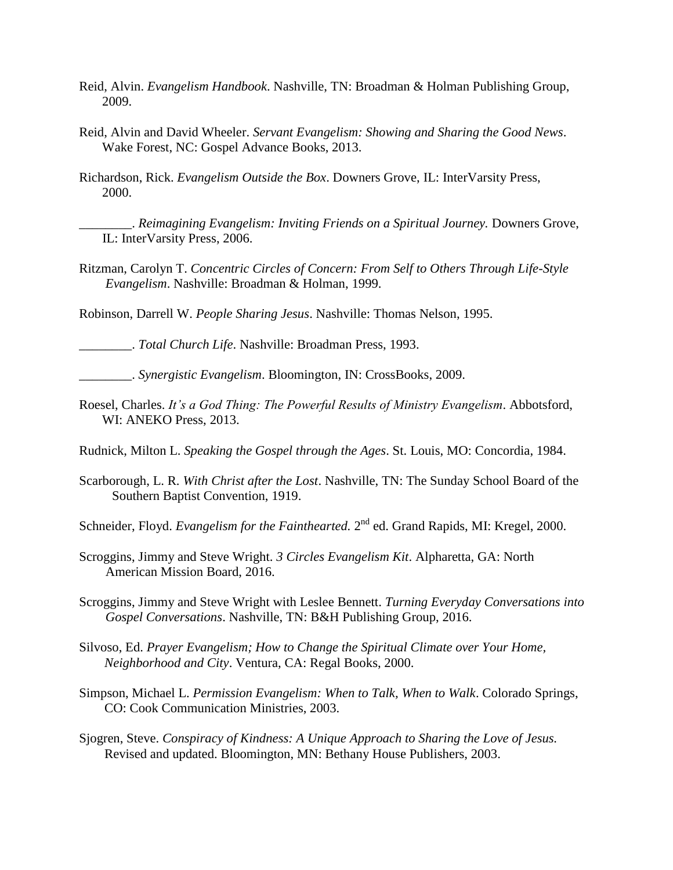- Reid, Alvin. *Evangelism Handbook*. Nashville, TN: Broadman & Holman Publishing Group, 2009.
- Reid, Alvin and David Wheeler. *Servant Evangelism: Showing and Sharing the Good News*. Wake Forest, NC: Gospel Advance Books, 2013.
- Richardson, Rick. *Evangelism Outside the Box*. Downers Grove, IL: InterVarsity Press, 2000.

\_\_\_\_\_\_\_\_. *Reimagining Evangelism: Inviting Friends on a Spiritual Journey.* Downers Grove, IL: InterVarsity Press, 2006.

Ritzman, Carolyn T. *Concentric Circles of Concern: From Self to Others Through Life-Style Evangelism*. Nashville: Broadman & Holman, 1999.

Robinson, Darrell W. *People Sharing Jesus*. Nashville: Thomas Nelson, 1995.

\_\_\_\_\_\_\_\_. *Total Church Life*. Nashville: Broadman Press, 1993.

\_\_\_\_\_\_\_\_. *Synergistic Evangelism*. Bloomington, IN: CrossBooks, 2009.

- Roesel, Charles. *It's a God Thing: The Powerful Results of Ministry Evangelism*. Abbotsford, WI: ANEKO Press, 2013.
- Rudnick, Milton L. *Speaking the Gospel through the Ages*. St. Louis, MO: Concordia, 1984.
- Scarborough, L. R. *With Christ after the Lost*. Nashville, TN: The Sunday School Board of the Southern Baptist Convention, 1919.

Schneider, Floyd. *Evangelism for the Fainthearted*. 2<sup>nd</sup> ed. Grand Rapids, MI: Kregel, 2000.

Scroggins, Jimmy and Steve Wright. *3 Circles Evangelism Kit*. Alpharetta, GA: North American Mission Board, 2016.

Scroggins, Jimmy and Steve Wright with Leslee Bennett. *Turning Everyday Conversations into Gospel Conversations*. Nashville, TN: B&H Publishing Group, 2016.

- Silvoso, Ed. *Prayer Evangelism; How to Change the Spiritual Climate over Your Home, Neighborhood and City*. Ventura, CA: Regal Books, 2000.
- Simpson, Michael L. *Permission Evangelism: When to Talk, When to Walk*. Colorado Springs, CO: Cook Communication Ministries, 2003.

Sjogren, Steve. *Conspiracy of Kindness: A Unique Approach to Sharing the Love of Jesus.* Revised and updated. Bloomington, MN: Bethany House Publishers, 2003.